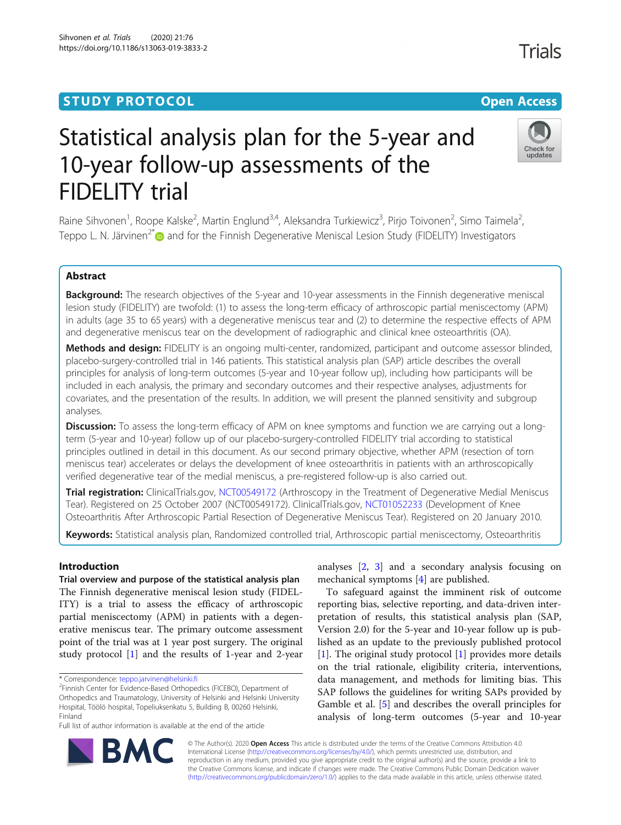## **STUDY PROTOCOL CONSUMING THE RESERVITE STUDY PROTOCOL**

# Statistical analysis plan for the 5-year and 10-year follow-up assessments of the FIDELITY trial

Raine Sihvonen<sup>1</sup>, Roope Kalske<sup>2</sup>, Martin Englund<sup>3,4</sup>, Aleksandra Turkiewicz<sup>3</sup>, Pirjo Toivonen<sup>2</sup>, Simo Taimela<sup>2</sup> .<br>, Teppo L. N. Järvinen<sup>2\*</sup> and for the Finnish Degenerative Meniscal Lesion Study (FIDELITY) Investigators

### Abstract

Background: The research objectives of the 5-year and 10-year assessments in the Finnish degenerative meniscal lesion study (FIDELITY) are twofold: (1) to assess the long-term efficacy of arthroscopic partial meniscectomy (APM) in adults (age 35 to 65 years) with a degenerative meniscus tear and (2) to determine the respective effects of APM and degenerative meniscus tear on the development of radiographic and clinical knee osteoarthritis (OA).

Methods and design: FIDELITY is an ongoing multi-center, randomized, participant and outcome assessor blinded, placebo-surgery-controlled trial in 146 patients. This statistical analysis plan (SAP) article describes the overall principles for analysis of long-term outcomes (5-year and 10-year follow up), including how participants will be included in each analysis, the primary and secondary outcomes and their respective analyses, adjustments for covariates, and the presentation of the results. In addition, we will present the planned sensitivity and subgroup analyses.

Discussion: To assess the long-term efficacy of APM on knee symptoms and function we are carrying out a longterm (5-year and 10-year) follow up of our placebo-surgery-controlled FIDELITY trial according to statistical principles outlined in detail in this document. As our second primary objective, whether APM (resection of torn meniscus tear) accelerates or delays the development of knee osteoarthritis in patients with an arthroscopically verified degenerative tear of the medial meniscus, a pre-registered follow-up is also carried out.

Trial registration: ClinicalTrials.gov, [NCT00549172](https://clinicaltrials.gov/ct2/show/NCT00549172) (Arthroscopy in the Treatment of Degenerative Medial Meniscus Tear). Registered on 25 October 2007 (NCT00549172). ClinicalTrials.gov, [NCT01052233](https://clinicaltrials.gov/ct2/show/NCT01052233) (Development of Knee Osteoarthritis After Arthroscopic Partial Resection of Degenerative Meniscus Tear). Registered on 20 January 2010.

Keywords: Statistical analysis plan, Randomized controlled trial, Arthroscopic partial meniscectomy, Osteoarthritis

#### Introduction

Trial overview and purpose of the statistical analysis plan The Finnish degenerative meniscal lesion study (FIDEL-ITY) is a trial to assess the efficacy of arthroscopic partial meniscectomy (APM) in patients with a degenerative meniscus tear. The primary outcome assessment point of the trial was at 1 year post surgery. The original study protocol [[1](#page-6-0)] and the results of 1-year and 2-year

\* Correspondence: [teppo.jarvinen@helsinki.fi](mailto:teppo.jarvinen@helsinki.fi) <sup>2</sup>

<sup>2</sup>Finnish Center for Evidence-Based Orthopedics (FICEBO), Department of Orthopedics and Traumatology, University of Helsinki and Helsinki University Hospital, Töölö hospital, Topeliuksenkatu 5, Building B, 00260 Helsinki, Finland

Full list of author information is available at the end of the article

analyses [[2,](#page-6-0) [3\]](#page-6-0) and a secondary analysis focusing on mechanical symptoms [[4\]](#page-6-0) are published.

To safeguard against the imminent risk of outcome reporting bias, selective reporting, and data-driven interpretation of results, this statistical analysis plan (SAP, Version 2.0) for the 5-year and 10-year follow up is published as an update to the previously published protocol [[1\]](#page-6-0). The original study protocol [[1\]](#page-6-0) provides more details on the trial rationale, eligibility criteria, interventions, data management, and methods for limiting bias. This SAP follows the guidelines for writing SAPs provided by Gamble et al. [[5](#page-6-0)] and describes the overall principles for analysis of long-term outcomes (5-year and 10-year

© The Author(s). 2020 **Open Access** This article is distributed under the terms of the Creative Commons Attribution 4.0 International License [\(http://creativecommons.org/licenses/by/4.0/](http://creativecommons.org/licenses/by/4.0/)), which permits unrestricted use, distribution, and reproduction in any medium, provided you give appropriate credit to the original author(s) and the source, provide a link to the Creative Commons license, and indicate if changes were made. The Creative Commons Public Domain Dedication waiver [\(http://creativecommons.org/publicdomain/zero/1.0/](http://creativecommons.org/publicdomain/zero/1.0/)) applies to the data made available in this article, unless otherwise stated.





Sihvonen et al. Trials (2020) 21:76 https://doi.org/10.1186/s13063-019-3833-2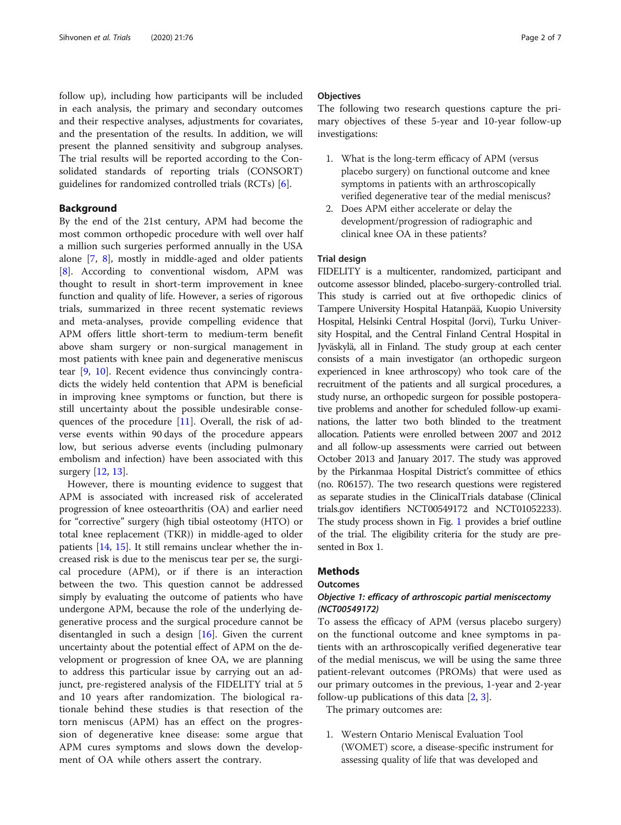follow up), including how participants will be included in each analysis, the primary and secondary outcomes and their respective analyses, adjustments for covariates, and the presentation of the results. In addition, we will present the planned sensitivity and subgroup analyses. The trial results will be reported according to the Consolidated standards of reporting trials (CONSORT) guidelines for randomized controlled trials (RCTs) [[6\]](#page-6-0).

#### Background

By the end of the 21st century, APM had become the most common orthopedic procedure with well over half a million such surgeries performed annually in the USA alone [\[7](#page-6-0), [8](#page-6-0)], mostly in middle-aged and older patients [[8\]](#page-6-0). According to conventional wisdom, APM was thought to result in short-term improvement in knee function and quality of life. However, a series of rigorous trials, summarized in three recent systematic reviews and meta-analyses, provide compelling evidence that APM offers little short-term to medium-term benefit above sham surgery or non-surgical management in most patients with knee pain and degenerative meniscus tear [[9,](#page-6-0) [10](#page-6-0)]. Recent evidence thus convincingly contradicts the widely held contention that APM is beneficial in improving knee symptoms or function, but there is still uncertainty about the possible undesirable consequences of the procedure [[11](#page-6-0)]. Overall, the risk of adverse events within 90 days of the procedure appears low, but serious adverse events (including pulmonary embolism and infection) have been associated with this surgery [[12,](#page-6-0) [13](#page-6-0)].

However, there is mounting evidence to suggest that APM is associated with increased risk of accelerated progression of knee osteoarthritis (OA) and earlier need for "corrective" surgery (high tibial osteotomy (HTO) or total knee replacement (TKR)) in middle-aged to older patients [\[14](#page-6-0), [15](#page-6-0)]. It still remains unclear whether the increased risk is due to the meniscus tear per se, the surgical procedure (APM), or if there is an interaction between the two. This question cannot be addressed simply by evaluating the outcome of patients who have undergone APM, because the role of the underlying degenerative process and the surgical procedure cannot be disentangled in such a design  $[16]$  $[16]$ . Given the current uncertainty about the potential effect of APM on the development or progression of knee OA, we are planning to address this particular issue by carrying out an adjunct, pre-registered analysis of the FIDELITY trial at 5 and 10 years after randomization. The biological rationale behind these studies is that resection of the torn meniscus (APM) has an effect on the progression of degenerative knee disease: some argue that APM cures symptoms and slows down the development of OA while others assert the contrary.

#### **Objectives**

The following two research questions capture the primary objectives of these 5-year and 10-year follow-up investigations:

- 1. What is the long-term efficacy of APM (versus placebo surgery) on functional outcome and knee symptoms in patients with an arthroscopically verified degenerative tear of the medial meniscus?
- 2. Does APM either accelerate or delay the development/progression of radiographic and clinical knee OA in these patients?

#### Trial design

FIDELITY is a multicenter, randomized, participant and outcome assessor blinded, placebo-surgery-controlled trial. This study is carried out at five orthopedic clinics of Tampere University Hospital Hatanpää, Kuopio University Hospital, Helsinki Central Hospital (Jorvi), Turku University Hospital, and the Central Finland Central Hospital in Jyväskylä, all in Finland. The study group at each center consists of a main investigator (an orthopedic surgeon experienced in knee arthroscopy) who took care of the recruitment of the patients and all surgical procedures, a study nurse, an orthopedic surgeon for possible postoperative problems and another for scheduled follow-up examinations, the latter two both blinded to the treatment allocation. Patients were enrolled between 2007 and 2012 and all follow-up assessments were carried out between October 2013 and January 2017. The study was approved by the Pirkanmaa Hospital District's committee of ethics (no. R06157). The two research questions were registered as separate studies in the ClinicalTrials database (Clinical trials.gov identifiers NCT00549172 and NCT01052233). The study process shown in Fig. [1](#page-2-0) provides a brief outline of the trial. The eligibility criteria for the study are presented in Box 1.

#### **Methods**

#### **Outcomes**

#### Objective 1: efficacy of arthroscopic partial meniscectomy (NCT00549172)

To assess the efficacy of APM (versus placebo surgery) on the functional outcome and knee symptoms in patients with an arthroscopically verified degenerative tear of the medial meniscus, we will be using the same three patient-relevant outcomes (PROMs) that were used as our primary outcomes in the previous, 1-year and 2-year follow-up publications of this data [\[2](#page-6-0), [3](#page-6-0)].

The primary outcomes are:

1. Western Ontario Meniscal Evaluation Tool (WOMET) score, a disease-specific instrument for assessing quality of life that was developed and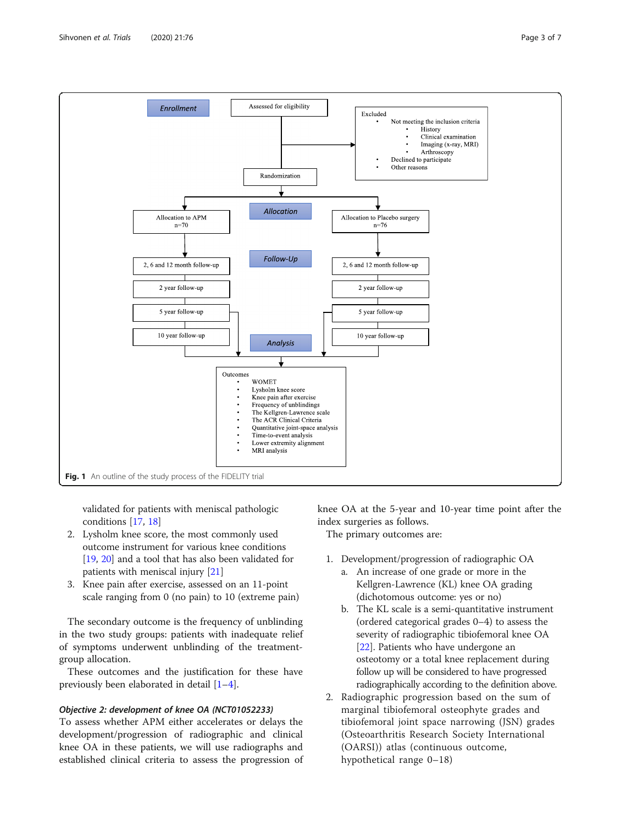<span id="page-2-0"></span>

validated for patients with meniscal pathologic conditions [\[17,](#page-6-0) [18\]](#page-6-0)

- 2. Lysholm knee score, the most commonly used outcome instrument for various knee conditions [\[19](#page-6-0), [20\]](#page-6-0) and a tool that has also been validated for patients with meniscal injury [[21\]](#page-6-0)
- 3. Knee pain after exercise, assessed on an 11-point scale ranging from 0 (no pain) to 10 (extreme pain)

The secondary outcome is the frequency of unblinding in the two study groups: patients with inadequate relief of symptoms underwent unblinding of the treatmentgroup allocation.

These outcomes and the justification for these have previously been elaborated in detail [\[1](#page-6-0)–[4\]](#page-6-0).

#### Objective 2: development of knee OA (NCT01052233)

To assess whether APM either accelerates or delays the development/progression of radiographic and clinical knee OA in these patients, we will use radiographs and established clinical criteria to assess the progression of knee OA at the 5-year and 10-year time point after the index surgeries as follows.

The primary outcomes are:

- 1. Development/progression of radiographic OA
	- a. An increase of one grade or more in the Kellgren-Lawrence (KL) knee OA grading (dichotomous outcome: yes or no)
	- b. The KL scale is a semi-quantitative instrument (ordered categorical grades 0–4) to assess the severity of radiographic tibiofemoral knee OA [\[22\]](#page-6-0). Patients who have undergone an osteotomy or a total knee replacement during follow up will be considered to have progressed radiographically according to the definition above.
- 2. Radiographic progression based on the sum of marginal tibiofemoral osteophyte grades and tibiofemoral joint space narrowing (JSN) grades (Osteoarthritis Research Society International (OARSI)) atlas (continuous outcome, hypothetical range 0–18)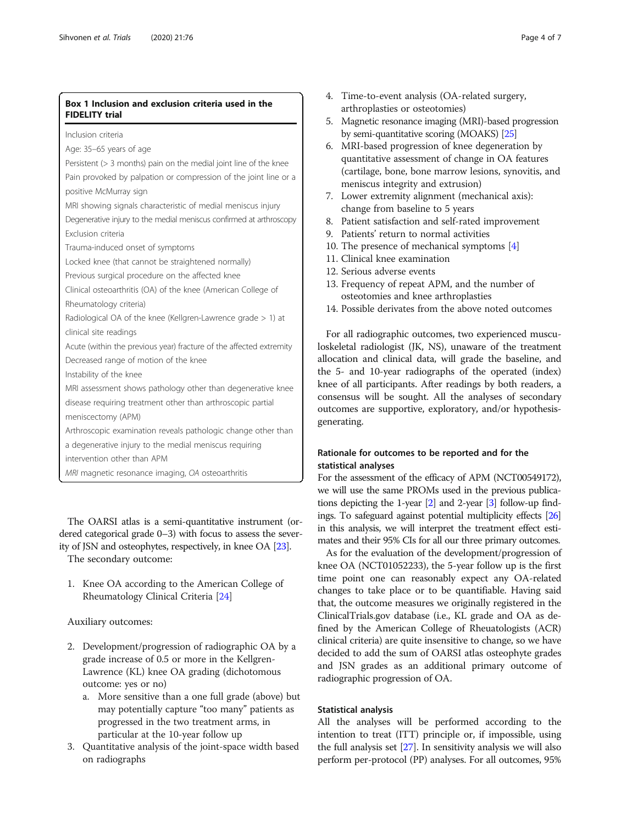#### Box 1 Inclusion and exclusion criteria used in the FIDELITY trial

Inclusion criteria

Age: 35–65 years of age

Persistent (> 3 months) pain on the medial joint line of the knee

Pain provoked by palpation or compression of the joint line or a positive McMurray sign

MRI showing signals characteristic of medial meniscus injury

Degenerative injury to the medial meniscus confirmed at arthroscopy Exclusion criteria

Trauma-induced onset of symptoms

Locked knee (that cannot be straightened normally)

Previous surgical procedure on the affected knee

Clinical osteoarthritis (OA) of the knee (American College of Rheumatology criteria)

Radiological OA of the knee (Kellgren-Lawrence grade > 1) at clinical site readings

Acute (within the previous year) fracture of the affected extremity Decreased range of motion of the knee

Instability of the knee

MRI assessment shows pathology other than degenerative knee disease requiring treatment other than arthroscopic partial

meniscectomy (APM)

Arthroscopic examination reveals pathologic change other than

a degenerative injury to the medial meniscus requiring

intervention other than APM

MRI magnetic resonance imaging, OA osteoarthritis

The OARSI atlas is a semi-quantitative instrument (ordered categorical grade 0–3) with focus to assess the severity of JSN and osteophytes, respectively, in knee OA [\[23\]](#page-6-0). The secondary outcome:

1. Knee OA according to the American College of Rheumatology Clinical Criteria [\[24\]](#page-6-0)

#### Auxiliary outcomes:

- 2. Development/progression of radiographic OA by a grade increase of 0.5 or more in the Kellgren-Lawrence (KL) knee OA grading (dichotomous outcome: yes or no)
	- a. More sensitive than a one full grade (above) but may potentially capture "too many" patients as progressed in the two treatment arms, in particular at the 10-year follow up
- 3. Quantitative analysis of the joint-space width based on radiographs
- 4. Time-to-event analysis (OA-related surgery, arthroplasties or osteotomies)
- 5. Magnetic resonance imaging (MRI)-based progression by semi-quantitative scoring (MOAKS) [\[25](#page-6-0)]
- 6. MRI-based progression of knee degeneration by quantitative assessment of change in OA features (cartilage, bone, bone marrow lesions, synovitis, and meniscus integrity and extrusion)
- 7. Lower extremity alignment (mechanical axis): change from baseline to 5 years
- 8. Patient satisfaction and self-rated improvement
- 9. Patients' return to normal activities
- 10. The presence of mechanical symptoms [[4](#page-6-0)]
- 11. Clinical knee examination
- 12. Serious adverse events
- 13. Frequency of repeat APM, and the number of osteotomies and knee arthroplasties
- 14. Possible derivates from the above noted outcomes

For all radiographic outcomes, two experienced musculoskeletal radiologist (JK, NS), unaware of the treatment allocation and clinical data, will grade the baseline, and the 5- and 10-year radiographs of the operated (index) knee of all participants. After readings by both readers, a consensus will be sought. All the analyses of secondary outcomes are supportive, exploratory, and/or hypothesisgenerating.

#### Rationale for outcomes to be reported and for the statistical analyses

For the assessment of the efficacy of APM (NCT00549172), we will use the same PROMs used in the previous publications depicting the 1-year [[2](#page-6-0)] and 2-year [\[3\]](#page-6-0) follow-up findings. To safeguard against potential multiplicity effects [\[26](#page-6-0)] in this analysis, we will interpret the treatment effect estimates and their 95% CIs for all our three primary outcomes.

As for the evaluation of the development/progression of knee OA (NCT01052233), the 5-year follow up is the first time point one can reasonably expect any OA-related changes to take place or to be quantifiable. Having said that, the outcome measures we originally registered in the ClinicalTrials.gov database (i.e., KL grade and OA as defined by the American College of Rheuatologists (ACR) clinical criteria) are quite insensitive to change, so we have decided to add the sum of OARSI atlas osteophyte grades and JSN grades as an additional primary outcome of radiographic progression of OA.

#### Statistical analysis

All the analyses will be performed according to the intention to treat (ITT) principle or, if impossible, using the full analysis set [[27](#page-6-0)]. In sensitivity analysis we will also perform per-protocol (PP) analyses. For all outcomes, 95%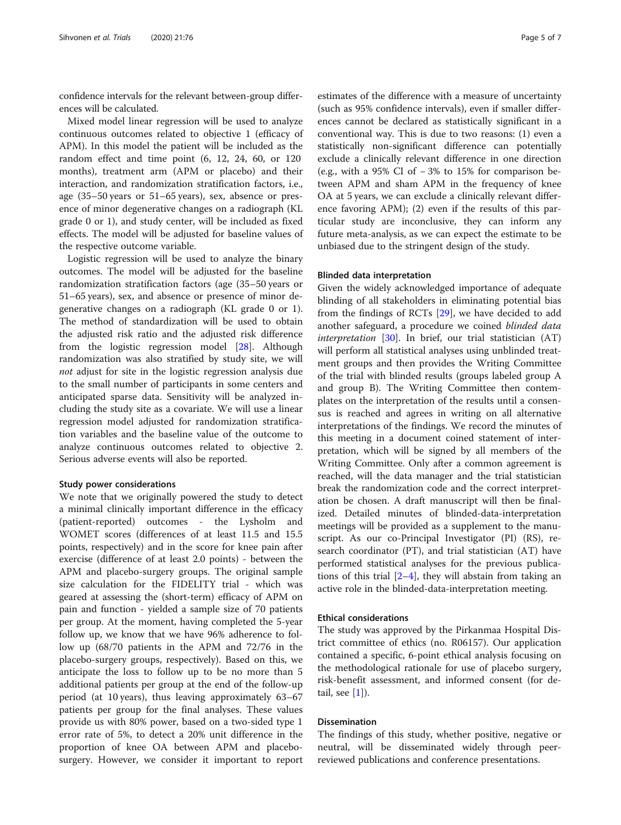confidence intervals for the relevant between-group differences will be calculated.

Mixed model linear regression will be used to analyze continuous outcomes related to objective 1 (efficacy of APM). In this model the patient will be included as the random effect and time point (6, 12, 24, 60, or 120 months), treatment arm (APM or placebo) and their interaction, and randomization stratification factors, i.e., age (35–50 years or 51–65 years), sex, absence or presence of minor degenerative changes on a radiograph (KL grade 0 or 1), and study center, will be included as fixed effects. The model will be adjusted for baseline values of the respective outcome variable.

Logistic regression will be used to analyze the binary outcomes. The model will be adjusted for the baseline randomization stratification factors (age (35–50 years or 51–65 years), sex, and absence or presence of minor degenerative changes on a radiograph (KL grade 0 or 1). The method of standardization will be used to obtain the adjusted risk ratio and the adjusted risk difference from the logistic regression model [[28\]](#page-6-0). Although randomization was also stratified by study site, we will not adjust for site in the logistic regression analysis due to the small number of participants in some centers and anticipated sparse data. Sensitivity will be analyzed including the study site as a covariate. We will use a linear regression model adjusted for randomization stratification variables and the baseline value of the outcome to analyze continuous outcomes related to objective 2. Serious adverse events will also be reported.

#### Study power considerations

We note that we originally powered the study to detect a minimal clinically important difference in the efficacy (patient-reported) outcomes - the Lysholm and WOMET scores (differences of at least 11.5 and 15.5 points, respectively) and in the score for knee pain after exercise (difference of at least 2.0 points) - between the APM and placebo-surgery groups. The original sample size calculation for the FIDELITY trial - which was geared at assessing the (short-term) efficacy of APM on pain and function - yielded a sample size of 70 patients per group. At the moment, having completed the 5-year follow up, we know that we have 96% adherence to follow up (68/70 patients in the APM and 72/76 in the placebo-surgery groups, respectively). Based on this, we anticipate the loss to follow up to be no more than 5 additional patients per group at the end of the follow-up period (at 10 years), thus leaving approximately 63–67 patients per group for the final analyses. These values provide us with 80% power, based on a two-sided type 1 error rate of 5%, to detect a 20% unit difference in the proportion of knee OA between APM and placebosurgery. However, we consider it important to report

estimates of the difference with a measure of uncertainty (such as 95% confidence intervals), even if smaller differences cannot be declared as statistically significant in a conventional way. This is due to two reasons: (1) even a statistically non-significant difference can potentially exclude a clinically relevant difference in one direction (e.g., with a 95% CI of − 3% to 15% for comparison between APM and sham APM in the frequency of knee OA at 5 years, we can exclude a clinically relevant difference favoring APM); (2) even if the results of this particular study are inconclusive, they can inform any future meta-analysis, as we can expect the estimate to be unbiased due to the stringent design of the study.

#### Blinded data interpretation

Given the widely acknowledged importance of adequate blinding of all stakeholders in eliminating potential bias from the findings of RCTs [[29](#page-6-0)], we have decided to add another safeguard, a procedure we coined blinded data interpretation  $[30]$  $[30]$ . In brief, our trial statistician  $(AT)$ will perform all statistical analyses using unblinded treatment groups and then provides the Writing Committee of the trial with blinded results (groups labeled group A and group B). The Writing Committee then contemplates on the interpretation of the results until a consensus is reached and agrees in writing on all alternative interpretations of the findings. We record the minutes of this meeting in a document coined statement of interpretation, which will be signed by all members of the Writing Committee. Only after a common agreement is reached, will the data manager and the trial statistician break the randomization code and the correct interpretation be chosen. A draft manuscript will then be finalized. Detailed minutes of blinded-data-interpretation meetings will be provided as a supplement to the manuscript. As our co-Principal Investigator (PI) (RS), research coordinator (PT), and trial statistician (AT) have performed statistical analyses for the previous publications of this trial  $[2-4]$  $[2-4]$  $[2-4]$ , they will abstain from taking an active role in the blinded-data-interpretation meeting.

#### Ethical considerations

The study was approved by the Pirkanmaa Hospital District committee of ethics (no. R06157). Our application contained a specific, 6-point ethical analysis focusing on the methodological rationale for use of placebo surgery, risk-benefit assessment, and informed consent (for detail, see  $[1]$  $[1]$ ).

#### Dissemination

The findings of this study, whether positive, negative or neutral, will be disseminated widely through peerreviewed publications and conference presentations.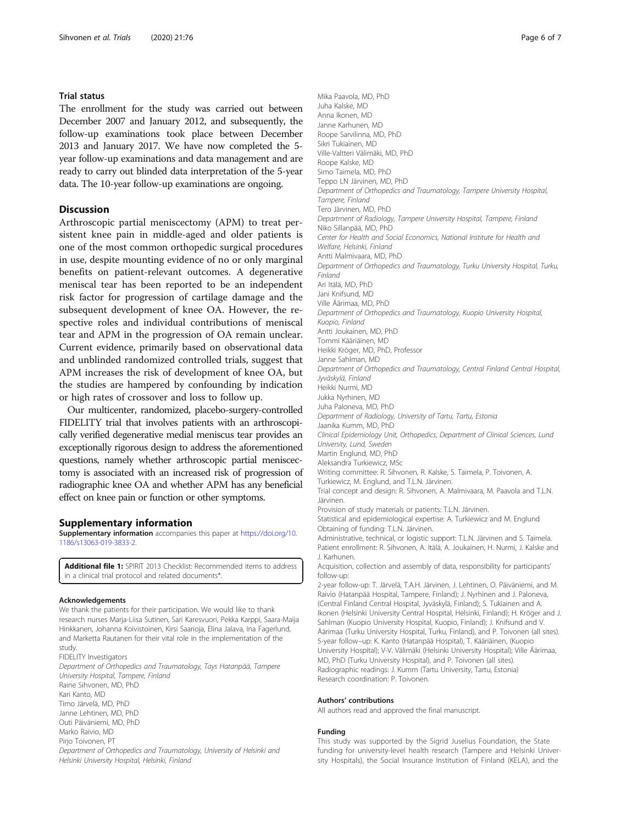#### Trial status

The enrollment for the study was carried out between December 2007 and January 2012, and subsequently, the follow-up examinations took place between December 2013 and January 2017. We have now completed the 5 year follow-up examinations and data management and are ready to carry out blinded data interpretation of the 5-year data. The 10-year follow-up examinations are ongoing.

#### **Discussion**

Arthroscopic partial meniscectomy (APM) to treat persistent knee pain in middle-aged and older patients is one of the most common orthopedic surgical procedures in use, despite mounting evidence of no or only marginal benefits on patient-relevant outcomes. A degenerative meniscal tear has been reported to be an independent risk factor for progression of cartilage damage and the subsequent development of knee OA. However, the respective roles and individual contributions of meniscal tear and APM in the progression of OA remain unclear. Current evidence, primarily based on observational data and unblinded randomized controlled trials, suggest that APM increases the risk of development of knee OA, but the studies are hampered by confounding by indication or high rates of crossover and loss to follow up.

Our multicenter, randomized, placebo-surgery-controlled FIDELITY trial that involves patients with an arthroscopically verified degenerative medial meniscus tear provides an exceptionally rigorous design to address the aforementioned questions, namely whether arthroscopic partial meniscectomy is associated with an increased risk of progression of radiographic knee OA and whether APM has any beneficial effect on knee pain or function or other symptoms.

#### Supplementary information

Supplementary information accompanies this paper at [https://doi.org/10.](https://doi.org/10.1186/s13063-019-3833-2) [1186/s13063-019-3833-2.](https://doi.org/10.1186/s13063-019-3833-2)

Additional file 1: SPIRIT 2013 Checklist: Recommended items to address in a clinical trial protocol and related documents\*.

#### Acknowledgements

We thank the patients for their participation. We would like to thank research nurses Marja-Liisa Sutinen, Sari Karesvuori, Pekka Karppi, Saara-Maija Hinkkanen, Johanna Koivistoinen, Kirsi Saarioja, Elina Jalava, Ina Fagerlund, and Marketta Rautanen for their vital role in the implementation of the study FIDELITY Investigators

Department of Orthopedics and Traumatology, Tays Hatanpää, Tampere University Hospital, Tampere, Finland Raine Sihvonen, MD, PhD Kari Kanto, MD

Timo Järvelä, MD, PhD Janne Lehtinen, MD, PhD Outi Päiväniemi, MD, PhD Marko Raivio, MD Pirjo Toivonen, PT Department of Orthopedics and Traumatology, University of Helsinki and

Helsinki University Hospital, Helsinki, Finland

Mika Paavola, MD, PhD Juha Kalske, MD Anna Ikonen, MD Janne Karhunen, MD Roope Sarvilinna, MD, PhD Sikri Tukiainen, MD Ville-Valtteri Välimäki, MD, PhD Roope Kalske, MD Simo Taimela, MD, PhD Teppo LN Järvinen, MD, PhD Department of Orthopedics and Traumatology, Tampere University Hospital, Tampere, Finland Tero Järvinen, MD, PhD Department of Radiology, Tampere University Hospital, Tampere, Finland Niko Sillanpää, MD, PhD Center for Health and Social Economics, National Institute for Health and Welfare, Helsinki, Finland Antti Malmivaara, MD, PhD Department of Orthopedics and Traumatology, Turku University Hospital, Turku, Finland Ari Itälä, MD, PhD Jani Knifsund, MD Ville Äärimaa, MD, PhD Department of Orthopedics and Traumatology, Kuopio University Hospital, Kuopio, Finland Antti Joukainen, MD, PhD Tommi Kääriäinen, MD Heikki Kröger, MD, PhD, Professor Janne Sahlman, MD Department of Orthopedics and Traumatology, Central Finland Central Hospital, Jyväskylä, Finland Heikki Nurmi, MD Jukka Nyrhinen, MD Juha Paloneva, MD, PhD Department of Radiology, University of Tartu, Tartu, Estonia Jaanika Kumm, MD, PhD Clinical Epidemiology Unit, Orthopedics, Department of Clinical Sciences, Lund University, Lund, Sweden Martin Englund, MD, PhD Aleksandra Turkiewicz, MSc Writing committee: R. Sihvonen, R. Kalske, S. Taimela, P. Toivonen, A. Turkiewicz, M. Englund, and T.L.N. Järvinen. Trial concept and design: R. Sihvonen, A. Malmivaara, M. Paavola and T.L.N. Järvinen. Provision of study materials or patients: T.L.N. Järvinen. Statistical and epidemiological expertise: A. Turkiewicz and M. Englund Obtaining of funding: T.L.N. Järvinen. Administrative, technical, or logistic support: T.L.N. Järvinen and S. Taimela. Patient enrollment: R. Sihvonen, A. Itälä, A. Joukainen, H. Nurmi, J. Kalske and J. Karhunen. Acquisition, collection and assembly of data, responsibility for participants' follow-up: 2-year follow-up: T. Järvelä, T.A.H. Järvinen, J. Lehtinen, O. Päiväniemi, and M. Raivio (Hatanpää Hospital, Tampere, Finland); J. Nyrhinen and J. Paloneva, (Central Finland Central Hospital, Jyväskylä, Finland); S. Tukiainen and A. Ikonen (Helsinki University Central Hospital, Helsinki, Finland); H. Kröger and J. Sahlman (Kuopio University Hospital, Kuopio, Finland); J. Knifsund and V. Äärimaa (Turku University Hospital, Turku, Finland), and P. Toivonen (all sites). 5-year follow–up: K. Kanto (Hatanpää Hospital), T. Kääriäinen, (Kuopio University Hospital); V-V. Välimäki (Helsinki University Hospital); Ville Äärimaa, MD, PhD (Turku University Hospital), and P. Toivonen (all sites). Radiographic readings: J. Kumm (Tartu University, Tartu, Estonia) Research coordination: P. Toivonen.

#### Authors' contributions

All authors read and approved the final manuscript.

#### Funding

This study was supported by the Sigrid Juselius Foundation, the State funding for university-level health research (Tampere and Helsinki University Hospitals), the Social Insurance Institution of Finland (KELA), and the